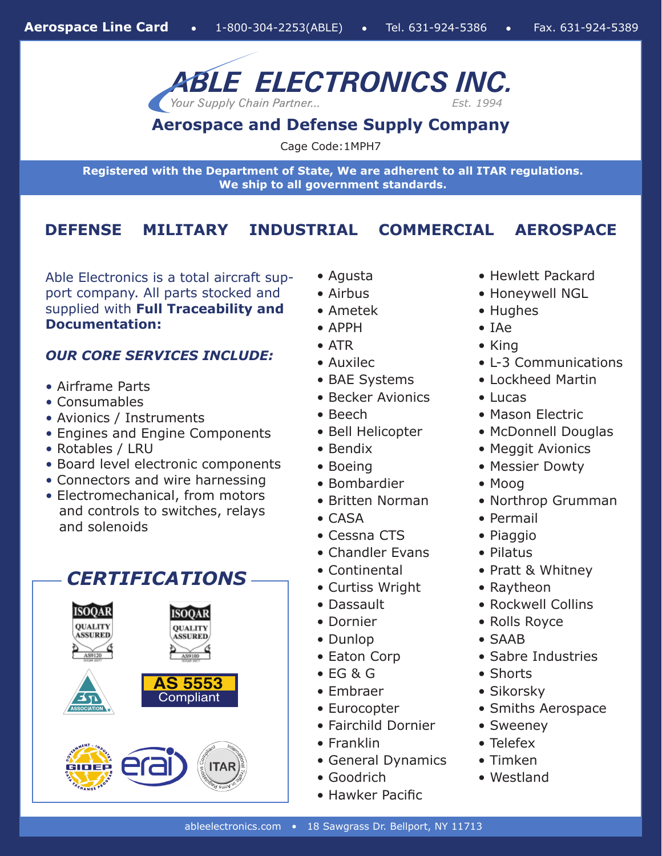

**Aerospace and Defense Supply Company**

Cage Code:1MPH7

**Registered with the Department of State, We are adherent to all ITAR regulations. We ship to all government standards.**

### **DEFENSE MILITARY INDUSTRIAL COMMERCIAL AEROSPACE**

Able Electronics is a total aircraft support company. All parts stocked and supplied with **Full Traceability and Documentation:**

### *OUR CORE SERVICES INCLUDE:*

- Airframe Parts
- Consumables
- Avionics / Instruments
- Engines and Engine Components
- Rotables / LRU
- Board level electronic components
- Connectors and wire harnessing
- Electromechanical, from motors and controls to switches, relays and solenoids

## *CERTIFICATIONS*



- Agusta
- Airbus
- Ametek
- APPH
- ATR
- Auxilec
- BAE Systems
- Becker Avionics
- Beech
- Bell Helicopter
- Bendix
- 
- Bombardier
- 
- CASA
- Cessna CTS
- Chandler Evans
- Continental
- Curtiss Wright
- Dassault
- Dornier
- Dunlop
- Eaton Corp
- EG & G
- Embraer
- Eurocopter
- Fairchild Dornier
- Franklin
- General Dynamics
- Goodrich
- Hawker Pacific
- Hewlett Packard
- Honeywell NGL
- Hughes
- IAe
- King
- L-3 Communications
- Lockheed Martin
- Lucas
- Mason Electric
- McDonnell Douglas
- Meggit Avionics
- Messier Dowty
- Moog
- Northrop Grumman
- Permail
- Piaggio
- Pilatus
- Pratt & Whitney
- Raytheon
- Rockwell Collins
- Rolls Royce
- SAAB
- Sabre Industries
- Shorts
- Sikorsky
- Smiths Aerospace
- Sweeney
- Telefex
- Timken
- Westland
- 
- 
- 
- 
- 

- Boeing
- 

### • Britten Norman